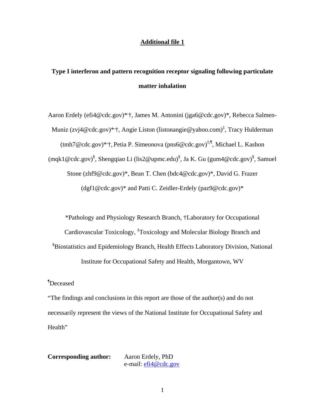#### **Additional file 1**

# **Type I interferon and pattern recognition receptor signaling following particulate matter inhalation**

Aaron Erdely (efi4@cdc.gov)\*<sup>\*</sup>; James M. Antonini (jga6@cdc.gov)\*, Rebecca Salmen-Muniz (zvj4@cdc.gov)\*'†, Angie Liston (listonangie@yahoo.com)<sup>‡</sup>, Tracy Hulderman (tmh7@cdc.gov)\*, †, Petia P. Simeonova (pns6@cdc.gov)‡,¶, Michael L. Kashon (mqk1@cdc.gov)<sup>§</sup>, Shengqiao Li (lis2@upmc.edu)<sup>§</sup>, Ja K. Gu (gum4@cdc.gov)<sup>§</sup>, Samuel Stone (zhf9@cdc.gov)\*, Bean T. Chen (bdc4@cdc.gov)\*, David G. Frazer (dgf1@cdc.gov)\* and Patti C. Zeidler-Erdely (paz9@cdc.gov)\*

\*Pathology and Physiology Research Branch, †Laboratory for Occupational Cardiovascular Toxicology, <sup>‡</sup>Toxicology and Molecular Biology Branch and § Biostatistics and Epidemiology Branch, Health Effects Laboratory Division, National Institute for Occupational Safety and Health, Morgantown, WV

¶ Deceased

"The findings and conclusions in this report are those of the author(s) and do not necessarily represent the views of the National Institute for Occupational Safety and Health"

**Corresponding author:** Aaron Erdely, PhD e-mail: efi4@cdc.gov

1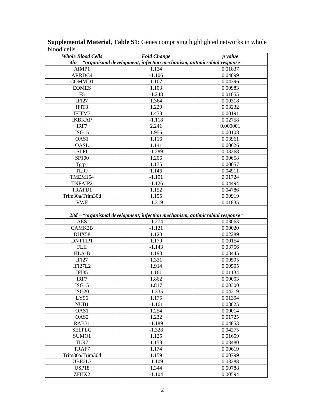| <b>Whole Blood Cells</b>                                                    | <b>Fold Change</b>                                                          | <i>p</i> value |  |  |  |
|-----------------------------------------------------------------------------|-----------------------------------------------------------------------------|----------------|--|--|--|
| 4hr - "organismal development, infection mechanism, antimicrobial response" |                                                                             |                |  |  |  |
| AIMP1                                                                       | 1.134                                                                       | 0.01837        |  |  |  |
| ARRDC4                                                                      | $-1.106$                                                                    | 0.04899        |  |  |  |
| COMMD1                                                                      | 1.107                                                                       | 0.04396        |  |  |  |
| <b>EOMES</b>                                                                | 1.103                                                                       | 0.00983        |  |  |  |
| F5                                                                          | $-1.248$                                                                    | 0.01055        |  |  |  |
| IFI27                                                                       | 1.364                                                                       | 0.00318        |  |  |  |
| IFIT3                                                                       | 1.229                                                                       | 0.03232        |  |  |  |
| IFITM3                                                                      | 1.478                                                                       | 0.00191        |  |  |  |
| <b>IKBKAP</b>                                                               | $-1.118$                                                                    | 0.02758        |  |  |  |
| IRF7                                                                        | 2.241                                                                       | 0.000001       |  |  |  |
| ISG15                                                                       | 1.956                                                                       | 0.00108        |  |  |  |
| OAS1                                                                        | 1.116                                                                       | 0.03961        |  |  |  |
| OASL                                                                        | 1.141                                                                       | 0.00626        |  |  |  |
| <b>SLPI</b>                                                                 | $-1.289$                                                                    | 0.03268        |  |  |  |
| <b>SP100</b>                                                                | 1.206                                                                       | 0.00658        |  |  |  |
| Tgtp1                                                                       | 1.175                                                                       | 0.00057        |  |  |  |
| TLR7                                                                        | 1.146                                                                       | 0.04911        |  |  |  |
| TMEM154                                                                     | $-1.101$                                                                    | 0.01724        |  |  |  |
| TNFAIP2                                                                     | $-1.126$                                                                    | 0.04494        |  |  |  |
| TRAFD1                                                                      | 1.152                                                                       | 0.04786        |  |  |  |
| Trim30a/Trim30d                                                             | 1.155                                                                       | 0.00919        |  |  |  |
| <b>VWF</b>                                                                  | $-1.319$                                                                    | 0.01835        |  |  |  |
|                                                                             |                                                                             |                |  |  |  |
|                                                                             | 28d - "organismal development, infection mechanism, antimicrobial response" |                |  |  |  |
| <b>AES</b>                                                                  | $-1.274$                                                                    | 0.03063        |  |  |  |
| CAMK2B                                                                      | $-1.121$                                                                    | 0.00020        |  |  |  |
| DHX58                                                                       | 1.120                                                                       | 0.02289        |  |  |  |
| DNTTIP1                                                                     | 1.179                                                                       | 0.00154        |  |  |  |
| <b>FLII</b>                                                                 | $-1.143$                                                                    | 0.03756        |  |  |  |
| HLA-B                                                                       | 1.193                                                                       | 0.03445        |  |  |  |
| IFI <sub>27</sub>                                                           | 1.331                                                                       | 0.00595        |  |  |  |
| IFI27L2                                                                     | 1.914                                                                       | 0.00505        |  |  |  |
| IFI35                                                                       | 1.161                                                                       | 0.01134        |  |  |  |
| IRF7                                                                        | 1.862                                                                       | 0.00003        |  |  |  |
| ISG15                                                                       | 1.817                                                                       | 0.00300        |  |  |  |
| ISG <sub>20</sub>                                                           | $-1.335$                                                                    | 0.04219        |  |  |  |
| LY96                                                                        | 1.175                                                                       | 0.01304        |  |  |  |
| NUB1                                                                        | $-1.161$                                                                    | 0.03025        |  |  |  |
| OAS <sub>1</sub>                                                            | 1.254                                                                       | 0.00014        |  |  |  |
| OAS <sub>2</sub>                                                            | 1.232                                                                       | 0.01725        |  |  |  |
| RAB31                                                                       | $-1.189$                                                                    | 0.04853        |  |  |  |
| SELPLG                                                                      | $-1.328$                                                                    | 0.04275        |  |  |  |
| SUMO <sub>1</sub>                                                           | 1.125                                                                       | 0.01659        |  |  |  |
| TLR7                                                                        | 1.158                                                                       | 0.03480        |  |  |  |
| TRAF7                                                                       | 1.174                                                                       | 0.00619        |  |  |  |
| Trim30a/Trim30d                                                             | 1.159                                                                       | 0.00799        |  |  |  |
| UBE2L3                                                                      | $-1.109$                                                                    | 0.03288        |  |  |  |
| USP <sub>18</sub>                                                           | 1.344                                                                       | 0.00788        |  |  |  |
| ZFHX2                                                                       | $-1.104$                                                                    | 0.00594        |  |  |  |

**Supplemental Material, Table S1:** Genes comprising highlighted networks in whole blood cells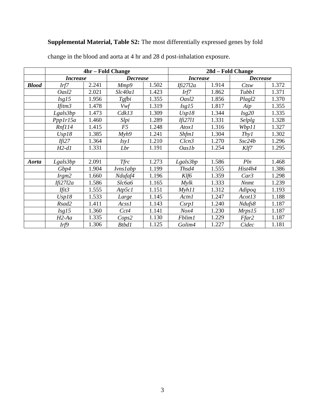## **Supplemental Material, Table S2:** The most differentially expressed genes by fold

|              | 4hr – Fold Change  |       |                   |       | 28d – Fold Change      |       |                 |       |
|--------------|--------------------|-------|-------------------|-------|------------------------|-------|-----------------|-------|
|              | <b>Increase</b>    |       | <b>Decrease</b>   |       | <i><b>Increase</b></i> |       | <b>Decrease</b> |       |
| <b>Blood</b> | Irf7               | 2.241 | Mmp9              | 1.502 | Ifi27l2a               | 1.914 | $C$ tsw         | 1.372 |
|              | Oasl2              | 2.021 | Slc40a1           | 1.423 | Irf7                   | 1.862 | Tubb1           | 1.371 |
|              | Isg15              | 1.956 | Tgfbi             | 1.355 | Oasl2                  | 1.856 | Plagl2          | 1.370 |
|              | Ifitm <sub>3</sub> | 1.478 | Vwf               | 1.319 | Isg15                  | 1.817 | Aip             | 1.355 |
|              | Lgals3bp           | 1.473 | Cdk13             | 1.309 | Usp18                  | 1.344 | Isg20           | 1.335 |
|              | Ppp1r15a           | 1.460 | Slpi              | 1.289 | <i>Ifi27l1</i>         | 1.331 | Selplg          | 1.328 |
|              | Rnf114             | 1.415 | F5                | 1.248 | Atox1                  | 1.316 | Wbp11           | 1.327 |
|              | Usp18              | 1.385 | Myh9              | 1.241 | Shfm1                  | 1.304 | Thyl            | 1.302 |
|              | Ifi27              | 1.364 | I <sub>sy</sub> I | 1.210 | Clcn3                  | 1.270 | Ssc24b          | 1.296 |
|              | $H2-d1$            | 1.331 | Lbr               | 1.191 | <b>Oaslb</b>           | 1.254 | Klf7            | 1.295 |
|              |                    |       |                   |       |                        |       |                 |       |
| Aorta        | Lgals3bp           | 2.091 | <b>Tfrc</b>       | 1.273 | Lgals3bp               | 1.586 | Pln             | 1.468 |
|              | Gbp4               | 1.904 | <b>Ivnslabp</b>   | 1.199 | Thsd4                  | 1.555 | Hist4h4         | 1.386 |
|              | $I$ rgm $2$        | 1.660 | Ndufaf4           | 1.196 | Klf6                   | 1.359 | Car3            | 1.298 |
|              | Ifi27l2a           | 1.586 | Slc6a6            | 1.165 | Mylk                   | 1.333 | <b>Nnmt</b>     | 1.239 |
|              | Ifit <sub>3</sub>  | 1.555 | Atp5c1            | 1.151 | Mvhl1                  | 1.312 | Adipoq          | 1.193 |
|              | Usp18              | 1.533 | Large             | 1.145 | Actn1                  | 1.247 | Acot13          | 1.188 |
|              | Rsad2              | 1.411 | Acss1             | 1.143 | Csrp1                  | 1.240 | Ndufs8          | 1.187 |
|              | Isg15              | 1.360 | Cct4              | 1.141 | Nox4                   | 1.230 | Mrps15          | 1.187 |
|              | $H2$ -Aa           | 1.335 | Cops2             | 1.130 | Fblim1                 | 1.229 | Ffar2           | 1.187 |
|              | Irf9               | 1.306 | Btbd1             | 1.125 | Golim4                 | 1.227 | Cidec           | 1.181 |

change in the blood and aorta at 4 hr and 28 d post-inhalation exposure.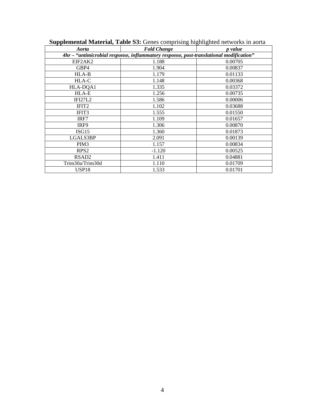| Aorta                                                                                  | <b>Fold Change</b> | <i>p</i> value |  |  |  |  |
|----------------------------------------------------------------------------------------|--------------------|----------------|--|--|--|--|
| 4hr - "antimicrobial response, inflammatory response, post-translational modification" |                    |                |  |  |  |  |
| EIF2AK2                                                                                | 1.188              | 0.00705        |  |  |  |  |
| GBP4                                                                                   | 1.904              | 0.00837        |  |  |  |  |
| $HLA-B$                                                                                | 1.179              | 0.01133        |  |  |  |  |
| HLA-C                                                                                  | 1.148              | 0.00368        |  |  |  |  |
| HLA-DQA1                                                                               | 1.335              | 0.03372        |  |  |  |  |
| HLA-E                                                                                  | 1.256              | 0.00735        |  |  |  |  |
| <b>IFI27L2</b>                                                                         | 1.586              | 0.00006        |  |  |  |  |
| IFIT <sub>2</sub>                                                                      | 1.102              | 0.03688        |  |  |  |  |
| IFIT3                                                                                  | 1.555              | 0.01550        |  |  |  |  |
| IRF7                                                                                   | 1.109              | 0.01657        |  |  |  |  |
| IRF9                                                                                   | 1.306              | 0.00870        |  |  |  |  |
| ISG15                                                                                  | 1.360              | 0.01873        |  |  |  |  |
| LGALS3BP                                                                               | 2.091              | 0.00139        |  |  |  |  |
| PIM <sub>3</sub>                                                                       | 1.157              | 0.00834        |  |  |  |  |
| RPS <sub>2</sub>                                                                       | $-1.120$           | 0.00525        |  |  |  |  |
| RSAD <sub>2</sub>                                                                      | 1.411              | 0.04881        |  |  |  |  |
| Trim30a/Trim30d                                                                        | 1.110              | 0.01709        |  |  |  |  |
| USP <sub>18</sub>                                                                      | 1.533              | 0.01701        |  |  |  |  |

 **Supplemental Material, Table S3:** Genes comprising highlighted networks in aorta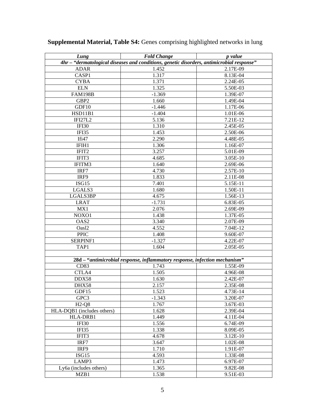| Lung                                                                                      | <b>Fold Change</b>                                                         | p value    |  |  |  |
|-------------------------------------------------------------------------------------------|----------------------------------------------------------------------------|------------|--|--|--|
| 4hr - "dermatological diseases and conditions, genetic disorders, antimicrobial response" |                                                                            |            |  |  |  |
| <b>ADAR</b>                                                                               | 1.452                                                                      | 2.17E-09   |  |  |  |
| CASP1                                                                                     | 1.317                                                                      | 8.13E-04   |  |  |  |
| <b>CYBA</b>                                                                               | 1.371                                                                      | 2.24E-05   |  |  |  |
| <b>ELN</b>                                                                                | 1.325                                                                      | 5.50E-03   |  |  |  |
| <b>FAM198B</b>                                                                            | $-1.369$                                                                   | 1.39E-07   |  |  |  |
| GBP <sub>2</sub>                                                                          | 1.660                                                                      | 1.49E-04   |  |  |  |
| GDF10                                                                                     | $-1.446$                                                                   | 1.17E-06   |  |  |  |
| HSD11B1                                                                                   | $-1.404$                                                                   | 1.01E-06   |  |  |  |
| IFI27L2                                                                                   | 5.136                                                                      | 7.21E-12   |  |  |  |
| IFI30                                                                                     | 1.310                                                                      | 2.45E-05   |  |  |  |
| IFI35                                                                                     | 1.453                                                                      | 2.50E-06   |  |  |  |
| Ifi47                                                                                     | 2.290                                                                      | 4.48E-05   |  |  |  |
| IFIH1                                                                                     | 1.306                                                                      | 1.16E-07   |  |  |  |
| IFIT2                                                                                     | 3.257                                                                      | 5.01E-09   |  |  |  |
| IFIT3                                                                                     | 4.685                                                                      | 3.05E-10   |  |  |  |
| IFITM3                                                                                    | 1.640                                                                      | 2.69E-06   |  |  |  |
| IRF7                                                                                      | 4.730                                                                      | 2.57E-10   |  |  |  |
| IRF9                                                                                      | 1.833                                                                      | 2.11E-08   |  |  |  |
| ISG15                                                                                     | 7.401                                                                      | 5.15E-11   |  |  |  |
| LGALS3                                                                                    | 1.680                                                                      | 1.50E-11   |  |  |  |
| LGALS3BP                                                                                  | 4.675                                                                      | 1.56E-13   |  |  |  |
| <b>LRAT</b>                                                                               | $-1.731$                                                                   | 6.83E-05   |  |  |  |
| MX1                                                                                       | 2.076                                                                      | 2.69E-09   |  |  |  |
| NOXO1                                                                                     | 1.438                                                                      | 1.37E-05   |  |  |  |
| OAS <sub>2</sub>                                                                          | 3.340                                                                      | 2.07E-09   |  |  |  |
| Oasl2                                                                                     | 4.552                                                                      | $7.04E-12$ |  |  |  |
| <b>PPIC</b>                                                                               | 1.408                                                                      | 9.60E-07   |  |  |  |
| SERPINF1                                                                                  | $-1.327$                                                                   | 4.22E-07   |  |  |  |
| TAP1                                                                                      | 1.604                                                                      | 2.05E-05   |  |  |  |
|                                                                                           |                                                                            |            |  |  |  |
|                                                                                           | 28d - "antimicrobial response, inflammatory response, infection mechanism" |            |  |  |  |
| CD83                                                                                      | 1.743                                                                      | 1.55E-09   |  |  |  |
| CTLA4                                                                                     | 1.505                                                                      | 4.96E-08   |  |  |  |
| DDX58                                                                                     | 1.630                                                                      | 2.42E-07   |  |  |  |
| DHX58                                                                                     | 2.157                                                                      | 2.35E-08   |  |  |  |
| GDF15                                                                                     | 1.523                                                                      | 4.73E-14   |  |  |  |
| GPC3                                                                                      | $-1.343$                                                                   | 3.20E-07   |  |  |  |
| $H2-Q8$                                                                                   | 1.767                                                                      | 3.67E-03   |  |  |  |
| HLA-DQB1 (includes others)                                                                | 1.628                                                                      | 2.39E-04   |  |  |  |
| HLA-DRB1                                                                                  | 1.449                                                                      | 4.11E-04   |  |  |  |
| IFI30                                                                                     | 1.556                                                                      | 6.74E-09   |  |  |  |
| IFI35                                                                                     |                                                                            |            |  |  |  |
|                                                                                           | 1.338                                                                      | 8.09E-05   |  |  |  |
| IFIT3                                                                                     | 4.678                                                                      | 3.12E-10   |  |  |  |
| IRF7                                                                                      | 3.647                                                                      | 1.02E-08   |  |  |  |
| IRF9                                                                                      | 1.710                                                                      | 1.91E-07   |  |  |  |
| ISG15                                                                                     | 4.593                                                                      | 1.33E-08   |  |  |  |
| LAMP3                                                                                     | 1.473                                                                      | 6.97E-07   |  |  |  |
| Ly6a (includes others)                                                                    | 1.365                                                                      | 9.82E-08   |  |  |  |
| MZB1                                                                                      | 1.538                                                                      | 9.51E-03   |  |  |  |

## **Supplemental Material, Table S4:** Genes comprising highlighted networks in lung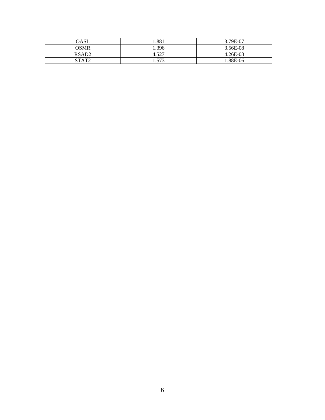| <b>OASL</b>       | 1.881 | 3.79E-07   |
|-------------------|-------|------------|
| OSMR              | 1.396 | 3.56E-08   |
| RSAD <sub>2</sub> | 4.527 | $4.26E-08$ |
| STAT <sub>2</sub> | 1.573 | 1.88E-06   |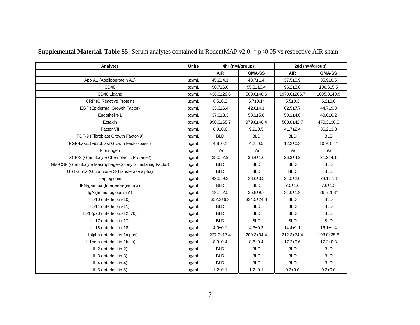| Analytes                                                         | <b>Units</b> | 4hr (n=4/group) |                  | 28d (n=4/group)  |                  |
|------------------------------------------------------------------|--------------|-----------------|------------------|------------------|------------------|
|                                                                  |              | <b>AIR</b>      | <b>GMA-SS</b>    | <b>AIR</b>       | <b>GMA-SS</b>    |
| Apo A1 (Apolipoprotein A1)                                       | ug/mL        | $45.2 + 4.1$    | $43.7 \pm 1.4$   | $37.5 \pm 0.9$   | $35.9 \pm 0.5$   |
| CD40                                                             | pg/mL        | $90.7 + 6.0$    | $95.8 \pm 10.4$  | $96.2 \pm 3.8$   | $106.6 \pm 5.5$  |
| CD40 Ligand                                                      | pg/mL        | 436.0±26.6      | 500.0±48.6       | 1970.0±206.7     | 1605.0±40.9      |
| CRP (C Reactive Protein)                                         | ug/mL        | $6.5 \pm 0.3$   | $5.7 \pm 0.1*$   | $5.5 + 0.3$      | $6.2 \pm 0.6$    |
| EGF (Epidermal Growth Factor)                                    | pg/mL        | $33.0 + 6.4$    | $42.0 + 4.1$     | $62.5 \pm 7.7$   | $44.7 + 9.8$     |
| Endothelin-1                                                     | pg/mL        | $37.0 + 8.3$    | $58.1 \pm 5.8$   | $50.1 \pm 4.0$   | $40.6 \pm 6.2$   |
| Eotaxin                                                          | pg/mL        | 990.0±65.7      | 979.8±48.4       | 563.0±42.7       | 470.3±38.0       |
| Factor VII                                                       | ng/mL        | $8.9 + 0.6$     | $9.9 + 0.5$      | $41.7 \pm 2.4$   | $36.2 \pm 3.8$   |
| FGF-9 (Fibroblast Growth Factor-9)                               | ng/mL        | <b>BLD</b>      | <b>BLD</b>       | <b>BLD</b>       | <b>BLD</b>       |
| FGF-basic (Fibroblast Growth Factor-basic)                       | ng/mL        | $4.8 + 0.1$     | $4.2 \pm 0.5$    | $12.2 \pm 0.3$   | $10.9 \pm 0.4*$  |
| Fibrinogen                                                       | ug/mL        | n/a             | n/a              | n/a              | n/a              |
| GCP-2 (Granulocyte Chemotactic Protein-2)                        |              | $35.0 \pm 2.9$  | $36.4 \pm 1.6$   | $26.3 + 4.2$     | $21.2 + 4.1$     |
| <b>GM-CSF (Granulocyte Macrophage-Colony Stimulating Factor)</b> |              | <b>BLD</b>      | <b>BLD</b>       | <b>BLD</b>       | <b>BLD</b>       |
| GST-alpha (Glutathione S-Transferase alpha)                      | ng/mL        | <b>BLD</b>      | <b>BLD</b>       | <b>BLD</b>       | <b>BLD</b>       |
| Haptoglobin                                                      | ug/mL        | $42.0 + 9.3$    | $28.6 \pm 3.5$   | $24.5 \pm 2.0$   | $28.1 \pm 7.8$   |
| IFN-gamma (Interferon-gamma)                                     | pg/mL        | <b>BLD</b>      | <b>BLD</b>       | $7.5 + 1.6$      | $7.0 + 1.5$      |
| IgA (Immunoglobulin A)                                           |              | $19.7 + 2.5$    | $35.8 + 9.7$     | $34.0 + 1.9$     | $26.5 \pm 1.8^*$ |
| IL-10 (Interleukin-10)                                           | pg/mL        | $352.3 + 6.3$   | $324.5 \pm 24.8$ | <b>BLD</b>       | <b>BLD</b>       |
| IL-11 (Interleukin-11)                                           | pg/mL        | <b>BLD</b>      | <b>BLD</b>       | <b>BLD</b>       | <b>BLD</b>       |
| IL-12p70 (Interleukin-12p70)                                     | nq/mL        | <b>BLD</b>      | <b>BLD</b>       | <b>BLD</b>       | <b>BLD</b>       |
| IL-17 (Interleukin-17)                                           | ng/mL        | <b>BLD</b>      | <b>BLD</b>       | <b>BLD</b>       | <b>BLD</b>       |
| IL-18 (Interleukin-18)                                           | ng/mL        | $4.0 + 0.1$     | $4.3 \pm 0.2$    | $14.4 \pm 1.1$   | $16.1 \pm 1.4$   |
| IL-1alpha (Interleukin-1alpha)                                   | pg/mL        | 227.0±17.4      | 209.3±34.4       | $212.3 \pm 74.4$ | 198.0±35.8       |
| IL-1beta (Interleukin-1beta)                                     | nq/mL        | $8.9 + 0.4$     | $8.8 + 0.4$      | $17.2 \pm 0.6$   | $17.2 \pm 0.3$   |
| IL-2 (Interleukin-2)                                             | pg/mL        | <b>BLD</b>      | <b>BLD</b>       | <b>BLD</b>       | <b>BLD</b>       |
| IL-3 (Interleukin-3)                                             | pg/mL        | <b>BLD</b>      | <b>BLD</b>       | <b>BLD</b>       | <b>BLD</b>       |
| IL-4 (Interleukin-4)                                             | pg/mL        | <b>BLD</b>      | <b>BLD</b>       | <b>BLD</b>       | <b>BLD</b>       |
| IL-5 (Interleukin-5)                                             |              | $1.2 + 0.1$     | $1.2 + 0.1$      | $0.2 + 0.0$      | $0.3 + 0.0$      |

**Supplemental Material, Table S5:** Serum analytes contained in RodentMAP v2.0. \* p<0.05 vs respective AIR sham.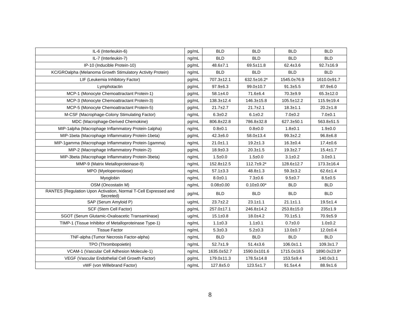| IL-6 (Interleukin-6)                                                         | pg/mL | <b>BLD</b>     | <b>BLD</b>        | <b>BLD</b>       | <b>BLD</b>       |
|------------------------------------------------------------------------------|-------|----------------|-------------------|------------------|------------------|
| IL-7 (Interleukin-7)<br>ng/mL                                                |       | <b>BLD</b>     | <b>BLD</b>        | <b>BLD</b>       | <b>BLD</b>       |
| IP-10 (Inducible Protein-10)                                                 | pg/mL | $48.6 \pm 7.1$ | $69.5 \pm 11.8$   | $62.4 \pm 3.6$   | $92.7 \pm 16.9$  |
| KC/GROalpha (Melanoma Growth Stimulatory Activity Protein)                   | ng/mL | <b>BLD</b>     | <b>BLD</b>        | <b>BLD</b>       | <b>BLD</b>       |
| LIF (Leukemia Inhibitory Factor)                                             | pg/mL | 707.3±12.1     | 632.5±16.2*       | 1545.0±76.9      | 1610.0±91.7      |
| Lymphotactin                                                                 | pg/mL | $97.9 \pm 6.3$ | 99.0±10.7         | $91.3 \pm 5.5$   | $87.9 + 6.0$     |
| MCP-1 (Monocyte Chemoattractant Protein-1)                                   | pg/mL | $58.1 \pm 4.0$ | 71.6±6.4          | $70.3 + 9.9$     | $65.3 \pm 12.0$  |
| MCP-3 (Monocyte Chemoattractant Protein-3)                                   | pg/mL | 138.3±12.4     | $146.3 \pm 15.8$  | $105.5 \pm 12.2$ | 115.9±19.4       |
| MCP-5 (Monocyte Chemoattractant Protein-5)                                   | pg/mL | $21.7 \pm 2.7$ | $21.7 + 2.1$      | $18.3 \pm 1.1$   | $20.2 \pm 1.8$   |
| M-CSF (Macrophage-Colony Stimulating Factor)                                 | ng/mL | $6.3 + 0.2$    | $6.1 \pm 0.2$     | $7.0 + 0.2$      | $7.0 + 0.1$      |
| MDC (Macrophage-Derived Chemokine)                                           | pg/mL | 806.8±22.8     | 786.8±32.8        | 627.3±50.1       | 563.8±51.5       |
| MIP-1alpha (Macrophage Inflammatory Protein-1alpha)                          | ng/mL | $0.8 + 0.1$    | $0.8 + 0.0$       | $1.8 + 0.1$      | $1.9 + 0.0$      |
| MIP-1beta (Macrophage Inflammatory Protein-1beta)                            | pg/mL | $42.3 \pm 6.0$ | $58.0 \pm 13.4$   | $99.3 \pm 2.2$   | $96.8 + 6.8$     |
| MIP-1gamma (Macrophage Inflammatory Protein-1gamma)                          | ng/mL | $21.0 + 1.1$   | $19.2 \pm 1.3$    | $16.3 + 0.4$     | $17.4 \pm 0.6$   |
| MIP-2 (Macrophage Inflammatory Protein-2)                                    | pg/mL | $18.9 \pm 0.3$ | $20.3 + 1.5$      | $19.3 + 2.7$     | $15.4 \pm 1.7$   |
| MIP-3beta (Macrophage Inflammatory Protein-3beta)                            | ng/mL | $1.5 + 0.0$    | $1.5 + 0.0$       | $3.1 \pm 0.2$    | $3.0 + 0.1$      |
| MMP-9 (Matrix Metalloproteinase-9)                                           |       | 152.8±12.5     | $112.7+9.2*$      | 128.6±12.7       | $173.3 \pm 16.4$ |
| MPO (Myeloperoxidase)                                                        | ng/mL | $57.1 \pm 3.3$ | $48.8 \pm 1.3$    | $59.3 \pm 3.2$   | $62.6 \pm 1.4$   |
| Myoglobin                                                                    | ng/mL | $8.0 + 0.1$    | $7.3 + 0.6$       | $9.5 \pm 0.7$    | $8.5 + 0.5$      |
| OSM (Oncostatin M)                                                           | ng/mL | $0.08 + 0.00$  | $0.10 \pm 0.00^*$ | <b>BLD</b>       | <b>BLD</b>       |
| RANTES (Regulation Upon Activation, Normal T-Cell Expressed and<br>Secreted) | pg/mL | <b>BLD</b>     | <b>BLD</b>        | <b>BLD</b>       | <b>BLD</b>       |
| SAP (Serum Amyloid P)                                                        | ug/mL | $23.7 \pm 2.2$ | $23.1 \pm 1.1$    | $21.1 \pm 1.1$   | $19.5 + 1.4$     |
| SCF (Stem Cell Factor)                                                       | pg/mL | 257.0±17.1     | 246.8±14.2        | 253.8±15.0       | $235+1.9$        |
| SGOT (Serum Glutamic-Oxaloacetic Transaminase)                               | ug/mL | $15.1 \pm 0.8$ | $18.0 + 4.2$      | $70.1 + 5.1$     | 70.9±5.9         |
| TIMP-1 (Tissue Inhibitor of Metalloproteinase Type-1)                        | ng/mL | $1.1 \pm 0.3$  | $1.1 \pm 0.1$     | $0.7 + 0.0$      | $1.0 + 0.2$      |
| <b>Tissue Factor</b>                                                         | ng/mL | $5.3 + 0.3$    | $5.2 \pm 0.3$     | $13.0 + 0.7$     | $12.0 + 0.4$     |
| TNF-alpha (Tumor Necrosis Factor-alpha)                                      | ng/mL | <b>BLD</b>     | <b>BLD</b>        | <b>BLD</b>       | <b>BLD</b>       |
| TPO (Thrombopoietin)                                                         | ng/mL | $52.7 \pm 1.9$ | $51.4 \pm 3.6$    | $106.0 \pm 1.1$  | $109.3 + 1.7$    |
| VCAM-1 (Vascular Cell Adhesion Molecule-1)                                   | ng/mL | 1635.0±52.7    | 1590.0±101.6      | 1715.0±18.5      | 1890.0±23.8*     |
| VEGF (Vascular Endothelial Cell Growth Factor)                               | pg/mL | 179.0±11.3     | 178.5±14.8        | $153.5+9.4$      | $140.0 \pm 3.1$  |
| vWF (von Willebrand Factor)                                                  | ng/mL | $127.8 + 5.0$  | $123.5 \pm 1.7$   | $91.5 + 4.4$     | $88.9 \pm 1.6$   |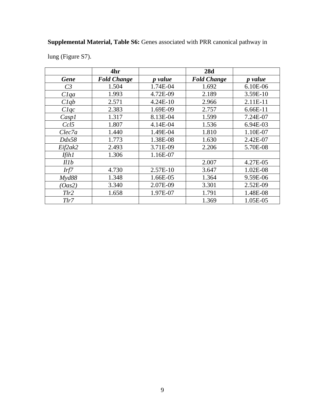## **Supplemental Material, Table S6:** Genes associated with PRR canonical pathway in

lung (Figure S7).

|                | 4hr                |                | 28d                |                |
|----------------|--------------------|----------------|--------------------|----------------|
| <b>Gene</b>    | <b>Fold Change</b> | <i>p</i> value | <b>Fold Change</b> | <i>p</i> value |
| C <sub>3</sub> | 1.504              | 1.74E-04       | 1.692              | 6.10E-06       |
| Clqa           | 1.993              | 4.72E-09       | 2.189              | 3.59E-10       |
| Clqb           | 2.571              | 4.24E-10       | 2.966              | 2.11E-11       |
| Clqc           | 2.383              | 1.69E-09       | 2.757              | 6.66E-11       |
| Casp1          | 1.317              | 8.13E-04       | 1.599              | 7.24E-07       |
| Ccl5           | 1.807              | 4.14E-04       | 1.536              | 6.94E-03       |
| Clec7a         | 1.440              | 1.49E-04       | 1.810              | 1.10E-07       |
| Ddx58          | 1.773              | 1.38E-08       | 1.630              | 2.42E-07       |
| Eif2ak2        | 2.493              | 3.71E-09       | 2.206              | 5.70E-08       |
| Ifih1          | 1.306              | 1.16E-07       |                    |                |
| Illb           |                    |                | 2.007              | 4.27E-05       |
| Irf7           | 4.730              | 2.57E-10       | 3.647              | 1.02E-08       |
| Myd88          | 1.348              | 1.66E-05       | 1.364              | 9.59E-06       |
| (Oas2)         | 3.340              | 2.07E-09       | 3.301              | 2.52E-09       |
| Tlr2           | 1.658              | 1.97E-07       | 1.791              | 1.48E-08       |
| Tlr7           |                    |                | 1.369              | 1.05E-05       |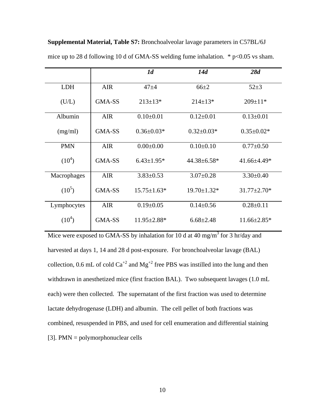|             |            | 1 <sub>d</sub>    | 14d                | 28d               |
|-------------|------------|-------------------|--------------------|-------------------|
| <b>LDH</b>  | <b>AIR</b> | $47 + 4$          | $66 + 2$           | $52+3$            |
| (U/L)       | GMA-SS     | $213 \pm 13$ *    | $214 \pm 13*$      | $209 \pm 11*$     |
| Albumin     | <b>AIR</b> | $0.10\pm0.01$     | $0.12 \pm 0.01$    | $0.13 \pm 0.01$   |
| (mg/ml)     | GMA-SS     | $0.36 \pm 0.03*$  | $0.32 \pm 0.03*$   | $0.35 \pm 0.02*$  |
| <b>PMN</b>  | <b>AIR</b> | $0.00 \pm 0.00$   | $0.10 \pm 0.10$    | $0.77 \pm 0.50$   |
| $(10^4)$    | GMA-SS     | $6.43 \pm 1.95*$  | $44.38 \pm 6.58$ * | 41.66±4.49*       |
| Macrophages | <b>AIR</b> | $3.83 \pm 0.53$   | $3.07 \pm 0.28$    | $3.30 \pm 0.40$   |
| $(10^5)$    | GMA-SS     | $15.75 \pm 1.63*$ | $19.70 \pm 1.32$ * | $31.77 \pm 2.70*$ |
| Lymphocytes | <b>AIR</b> | $0.19 \pm 0.05$   | $0.14 \pm 0.56$    | $0.28 \pm 0.11$   |
| $(10^4)$    | GMA-SS     | $11.95 \pm 2.88*$ | $6.68 \pm 2.48$    | $11.66 \pm 2.85*$ |

**Supplemental Material, Table S7:** Bronchoalveolar lavage parameters in C57BL/6J mice up to 28 d following 10 d of GMA-SS welding fume inhalation.  $*$  p<0.05 vs sham.

Mice were exposed to GMA-SS by inhalation for 10 d at 40 mg/m<sup>3</sup> for 3 hr/day and harvested at days 1, 14 and 28 d post-exposure. For bronchoalveolar lavage (BAL) collection, 0.6 mL of cold  $Ca^{+2}$  and  $Mg^{+2}$  free PBS was instilled into the lung and then withdrawn in anesthetized mice (first fraction BAL). Two subsequent lavages (1.0 mL each) were then collected. The supernatant of the first fraction was used to determine lactate dehydrogenase (LDH) and albumin. The cell pellet of both fractions was combined, resuspended in PBS, and used for cell enumeration and differential staining [3]. PMN = polymorphonuclear cells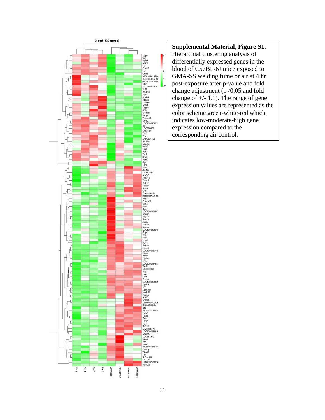

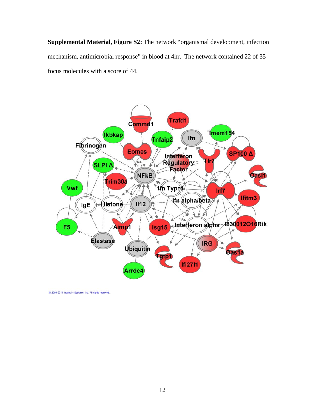**Supplemental Material, Figure S2:** The network "organismal development, infection mechanism, antimicrobial response" in blood at 4hr.The network contained 22 of 35 focus molecules with a score of 44.

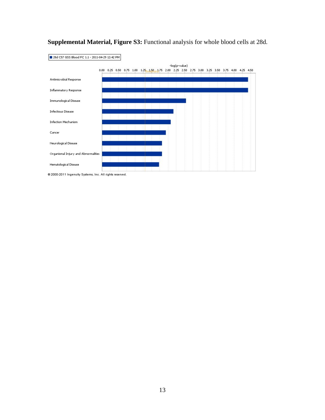

**Supplemental Material, Figure S3:** Functional analysis for whole blood cells at 28d.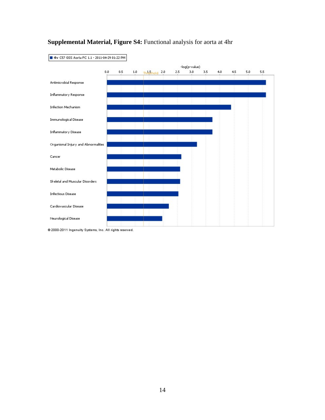

## **Supplemental Material, Figure S4:** Functional analysis for aorta at 4hr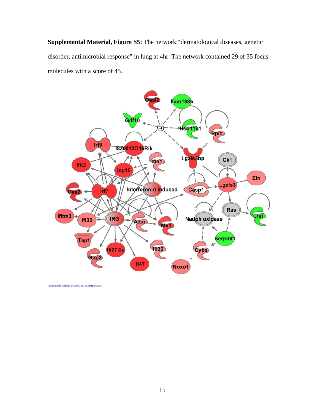**Supplemental Material, Figure S5:** The network "dermatological diseases, genetic disorder, antimicrobial response" in lung at 4hr. The network contained 29 of 35 focus molecules with a score of 45.

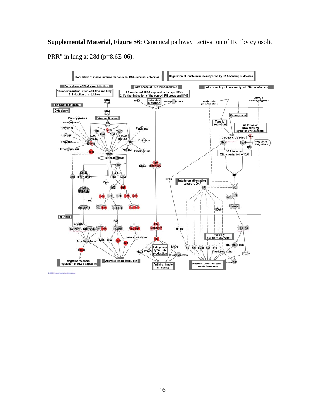**Supplemental Material, Figure S6:** Canonical pathway "activation of IRF by cytosolic

PRR" in lung at 28d (p=8.6E-06).

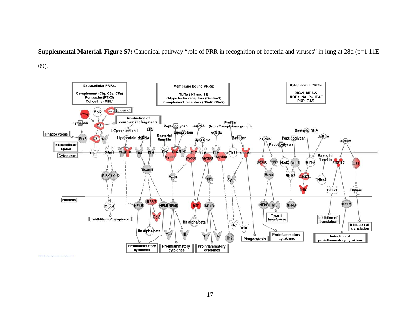**Supplemental Material, Figure S7:** Canonical pathway "role of PRR in recognition of bacteria and viruses" in lung at 28d (p=1.11E-

09).

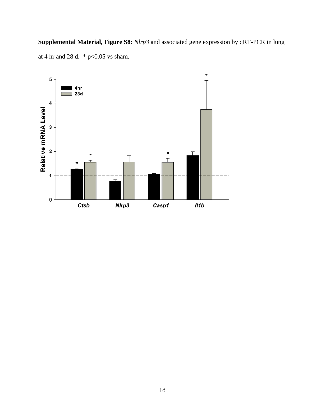**Supplemental Material, Figure S8:** *Nlrp3* and associated gene expression by qRT-PCR in lung at 4 hr and 28 d.  $*$  p<0.05 vs sham.

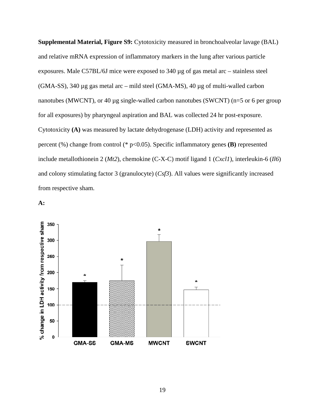**Supplemental Material, Figure S9:** Cytotoxicity measured in bronchoalveolar lavage (BAL) and relative mRNA expression of inflammatory markers in the lung after various particle exposures. Male C57BL/6J mice were exposed to 340 µg of gas metal arc – stainless steel (GMA-SS), 340 µg gas metal arc – mild steel (GMA-MS), 40 µg of multi-walled carbon nanotubes (MWCNT), or 40 µg single-walled carbon nanotubes (SWCNT) (n=5 or 6 per group for all exposures) by pharyngeal aspiration and BAL was collected 24 hr post-exposure. Cytotoxicity **(A)** was measured by lactate dehydrogenase (LDH) activity and represented as percent (%) change from control (\* p<0.05). Specific inflammatory genes **(B)** represented include metallothionein 2 (*Mt2*), chemokine (C-X-C) motif ligand 1 (*Cxcl1*), interleukin-6 (*Il6*) and colony stimulating factor 3 (granulocyte) (*Csf3*). All values were significantly increased from respective sham.

**A:** 

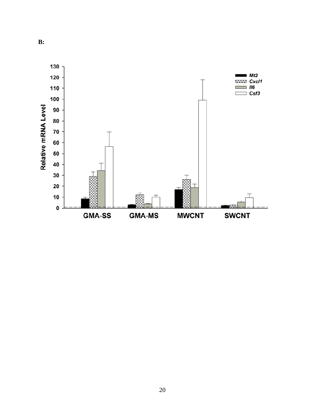

**B:**